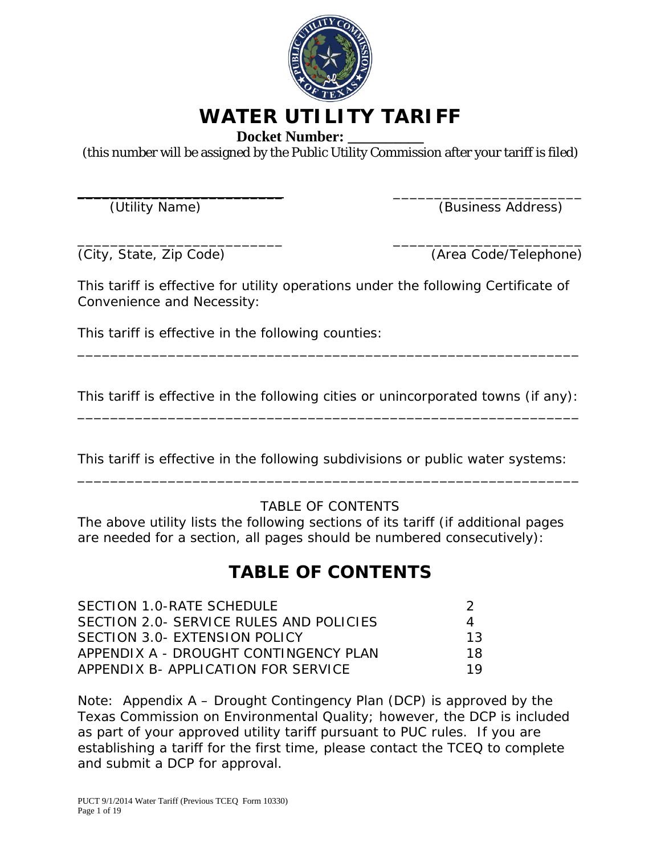

# **WATER UTILITY TARIFF**

**Docket Number: \_\_\_\_\_\_\_\_\_\_**

(this number will be assigned by the Public Utility Commission after your tariff is filed)

\_\_\_\_\_\_\_\_\_\_\_\_\_\_\_\_\_\_\_\_\_\_\_\_\_ \_\_\_\_\_\_\_\_\_\_\_\_\_\_\_\_\_\_\_\_\_\_\_

(Utility Name) (Business Address)

\_\_\_\_\_\_\_\_\_\_\_\_\_\_\_\_\_\_\_\_\_\_\_\_\_ \_\_\_\_\_\_\_\_\_\_\_\_\_\_\_\_\_\_\_\_\_\_\_ (City, State, Zip Code) (Area Code/Telephone)

This tariff is effective for utility operations under the following Certificate of Convenience and Necessity:

This tariff is effective in the following counties:

This tariff is effective in the following cities or unincorporated towns (if any): \_\_\_\_\_\_\_\_\_\_\_\_\_\_\_\_\_\_\_\_\_\_\_\_\_\_\_\_\_\_\_\_\_\_\_\_\_\_\_\_\_\_\_\_\_\_\_\_\_\_\_\_\_\_\_\_\_\_\_\_\_

\_\_\_\_\_\_\_\_\_\_\_\_\_\_\_\_\_\_\_\_\_\_\_\_\_\_\_\_\_\_\_\_\_\_\_\_\_\_\_\_\_\_\_\_\_\_\_\_\_\_\_\_\_\_\_\_\_\_\_\_\_

This tariff is effective in the following subdivisions or public water systems: \_\_\_\_\_\_\_\_\_\_\_\_\_\_\_\_\_\_\_\_\_\_\_\_\_\_\_\_\_\_\_\_\_\_\_\_\_\_\_\_\_\_\_\_\_\_\_\_\_\_\_\_\_\_\_\_\_\_\_\_\_

### TABLE OF CONTENTS

The above utility lists the following sections of its tariff (if additional pages are needed for a section, all pages should be numbered consecutively):

## **TABLE OF CONTENTS**

| $\Delta$ |
|----------|
| 13       |
| 18       |
| 19       |
|          |

Note: Appendix A – Drought Contingency Plan (DCP) is approved by the Texas Commission on Environmental Quality; however, the DCP is included as part of your approved utility tariff pursuant to PUC rules. If you are establishing a tariff for the first time, please contact the TCEQ to complete and submit a DCP for approval.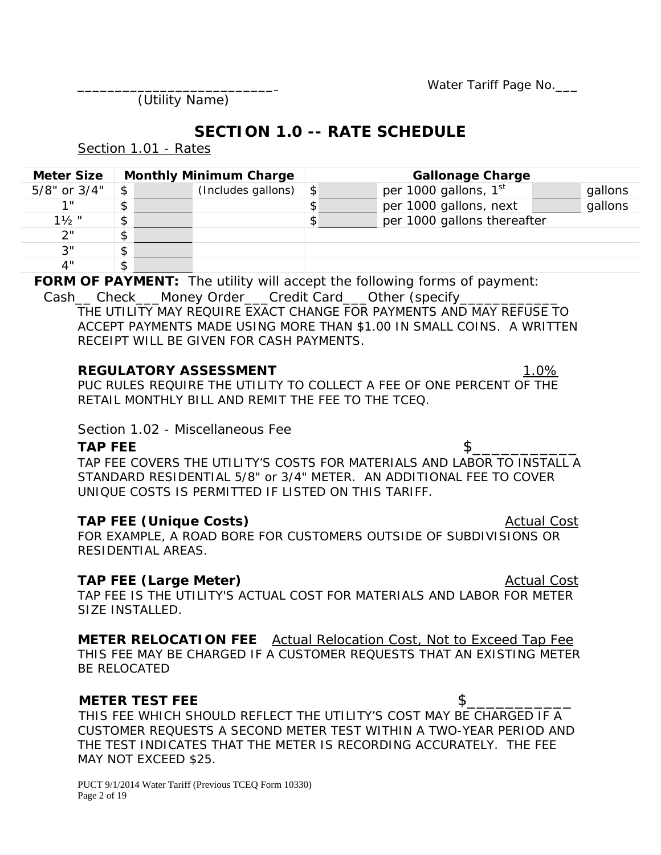Water Tariff Page No.

(Utility Name)

### **SECTION 1.0 -- RATE SCHEDULE**

Section 1.01 - Rates

| <b>Meter Size</b> | <b>Monthly Minimum Charge</b> |                               |  | <b>Gallonage Charge</b> |                                   |  |         |
|-------------------|-------------------------------|-------------------------------|--|-------------------------|-----------------------------------|--|---------|
| 5/8" or 3/4"      | \$                            | (Includes gallons) $\vert \$$ |  |                         | per 1000 gallons, 1 <sup>st</sup> |  | gallons |
| 1 H               | \$                            |                               |  |                         | per 1000 gallons, next            |  | gallons |
| $1\frac{1}{2}$ "  | \$                            |                               |  |                         | per 1000 gallons thereafter       |  |         |
| 2"                | \$                            |                               |  |                         |                                   |  |         |
| 3"                | \$                            |                               |  |                         |                                   |  |         |
| 4"                | \$                            |                               |  |                         |                                   |  |         |

**FORM OF PAYMENT:** The utility will accept the following forms of payment: Cash\_\_Check\_\_\_Money Order\_\_\_Credit Card\_\_\_Other (specify\_\_\_\_\_\_\_\_\_\_\_\_\_\_\_\_\_\_\_\_\_\_\_\_

THE UTILITY MAY REQUIRE EXACT CHANGE FOR PAYMENTS AND MAY REFUSE TO ACCEPT PAYMENTS MADE USING MORE THAN \$1.00 IN SMALL COINS. A WRITTEN RECEIPT WILL BE GIVEN FOR CASH PAYMENTS.

#### **REGULATORY ASSESSMENT** 1.0%

PUC RULES REQUIRE THE UTILITY TO COLLECT A FEE OF ONE PERCENT OF THE RETAIL MONTHLY BILL AND REMIT THE FEE TO THE TCEQ.

Section 1.02 - Miscellaneous Fee

**TAP FEE** \$\_\_\_\_\_\_\_\_\_\_\_ TAP FEE COVERS THE UTILITY'S COSTS FOR MATERIALS AND LABOR TO INSTALL A STANDARD RESIDENTIAL 5/8" or 3/4" METER. AN ADDITIONAL FEE TO COVER UNIQUE COSTS IS PERMITTED IF LISTED ON THIS TARIFF.

### **TAP FEE (Unique Costs) Actual Cost Actual Cost**

FOR EXAMPLE, A ROAD BORE FOR CUSTOMERS OUTSIDE OF SUBDIVISIONS OR RESIDENTIAL AREAS.

**TAP FEE (Large Meter) Actual Cost Actual Cost** TAP FEE IS THE UTILITY'S ACTUAL COST FOR MATERIALS AND LABOR FOR METER SIZE INSTALLED.

**METER RELOCATION FEE** Actual Relocation Cost, Not to Exceed Tap Fee THIS FEE MAY BE CHARGED IF A CUSTOMER REQUESTS THAT AN EXISTING METER BE RELOCATED

### **METER TEST FEE** SPECIFIED ASSESSED ASSESSED.

THIS FEE WHICH SHOULD REFLECT THE UTILITY'S COST MAY BE CHARGED IF A CUSTOMER REQUESTS A SECOND METER TEST WITHIN A TWO-YEAR PERIOD AND THE TEST INDICATES THAT THE METER IS RECORDING ACCURATELY. THE FEE MAY NOT EXCEED \$25.

PUCT 9/1/2014 Water Tariff (Previous TCEQ Form 10330) Page 2 of 19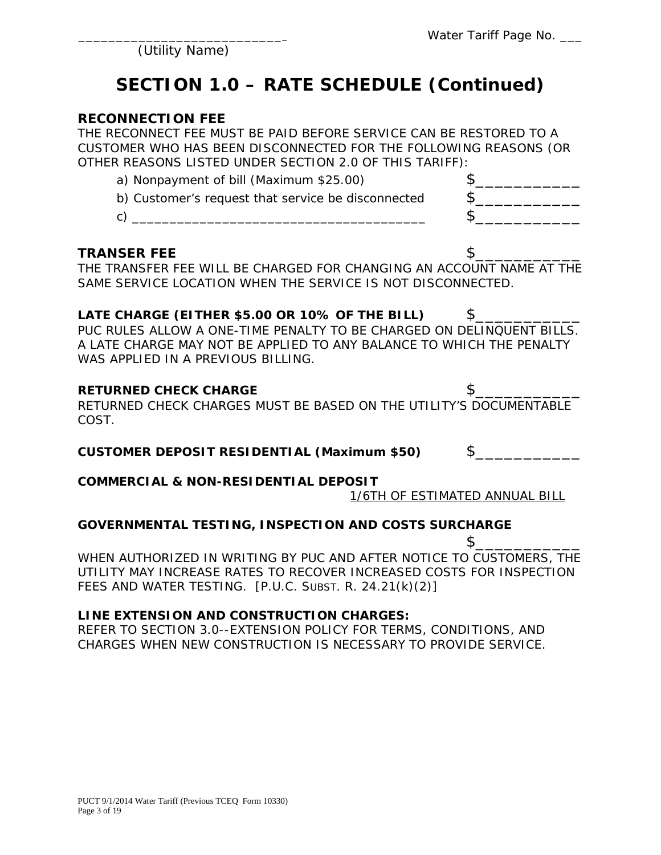# **SECTION 1.0 – RATE SCHEDULE (Continued)**

**RECONNECTION FEE**<br>THE RECONNECT FEE MUST BE PAID BEFORE SERVICE CAN BE RESTORED TO A CUSTOMER WHO HAS BEEN DISCONNECTED FOR THE FOLLOWING REASONS (OR OTHER REASONS LISTED UNDER SECTION 2.0 OF THIS TARIFF):

| a) Nonpayment of bill (Maximum \$25.00)            |  |
|----------------------------------------------------|--|
| b) Customer's request that service be disconnected |  |
|                                                    |  |

#### **TRANSER FEE** \$

THE TRANSFER FEE WILL BE CHARGED FOR CHANGING AN ACCOUNT NAME AT THE SAME SERVICE LOCATION WHEN THE SERVICE IS NOT DISCONNECTED.

#### **LATE CHARGE (EITHER \$5.00 OR 10% OF THE BILL)** \$

PUC RULES ALLOW A ONE-TIME PENALTY TO BE CHARGED ON DELINQUENT BILLS. A LATE CHARGE MAY NOT BE APPLIED TO ANY BALANCE TO WHICH THE PENALTY WAS APPLIED IN A PREVIOUS BILLING.

#### **RETURNED CHECK CHARGE \$**

RETURNED CHECK CHARGES MUST BE BASED ON THE UTILITY'S DOCUMENTABLE COST.

**CUSTOMER DEPOSIT RESIDENTIAL (Maximum \$50)** \$\_\_\_\_\_\_\_\_\_\_\_

#### **COMMERCIAL & NON-RESIDENTIAL DEPOSIT**

1/6TH OF ESTIMATED ANNUAL BILL

#### **GOVERNMENTAL TESTING, INSPECTION AND COSTS SURCHARGE**

\$\_\_\_\_\_\_\_\_\_\_\_ WHEN AUTHORIZED IN WRITING BY PUC AND AFTER NOTICE TO CUSTOMERS, THE UTILITY MAY INCREASE RATES TO RECOVER INCREASED COSTS FOR INSPECTION FEES AND WATER TESTING. [P.U.C. SUBST. R. 24.21(k)(2)]

#### **LINE EXTENSION AND CONSTRUCTION CHARGES:**

REFER TO SECTION 3.0--EXTENSION POLICY FOR TERMS, CONDITIONS, AND CHARGES WHEN NEW CONSTRUCTION IS NECESSARY TO PROVIDE SERVICE.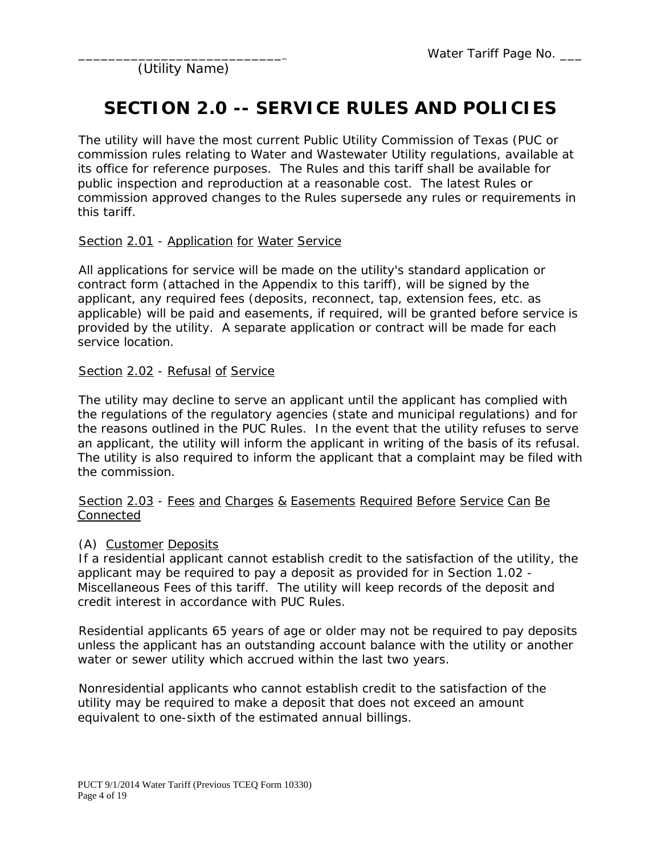# **SECTION 2.0 -- SERVICE RULES AND POLICIES**

The utility will have the most current Public Utility Commission of Texas (PUC or commission rules relating to Water and Wastewater Utility regulations, available at its office for reference purposes. The Rules and this tariff shall be available for public inspection and reproduction at a reasonable cost. The latest Rules or commission approved changes to the Rules supersede any rules or requirements in this tariff.

#### Section 2.01 - Application for Water Service

All applications for service will be made on the utility's standard application or contract form (attached in the Appendix to this tariff), will be signed by the applicant, any required fees (deposits, reconnect, tap, extension fees, etc. as applicable) will be paid and easements, if required, will be granted before service is provided by the utility. A separate application or contract will be made for each service location.

#### Section 2.02 - Refusal of Service

The utility may decline to serve an applicant until the applicant has complied with the regulations of the regulatory agencies (state and municipal regulations) and for the reasons outlined in the PUC Rules. In the event that the utility refuses to serve an applicant, the utility will inform the applicant in writing of the basis of its refusal. The utility is also required to inform the applicant that a complaint may be filed with the commission.

#### Section 2.03 - Fees and Charges & Easements Required Before Service Can Be Connected

#### (A) Customer Deposits

If a residential applicant cannot establish credit to the satisfaction of the utility, the applicant may be required to pay a deposit as provided for in Section 1.02 - Miscellaneous Fees of this tariff. The utility will keep records of the deposit and credit interest in accordance with PUC Rules.

Residential applicants 65 years of age or older may not be required to pay deposits unless the applicant has an outstanding account balance with the utility or another water or sewer utility which accrued within the last two years.

Nonresidential applicants who cannot establish credit to the satisfaction of the utility may be required to make a deposit that does not exceed an amount equivalent to one-sixth of the estimated annual billings.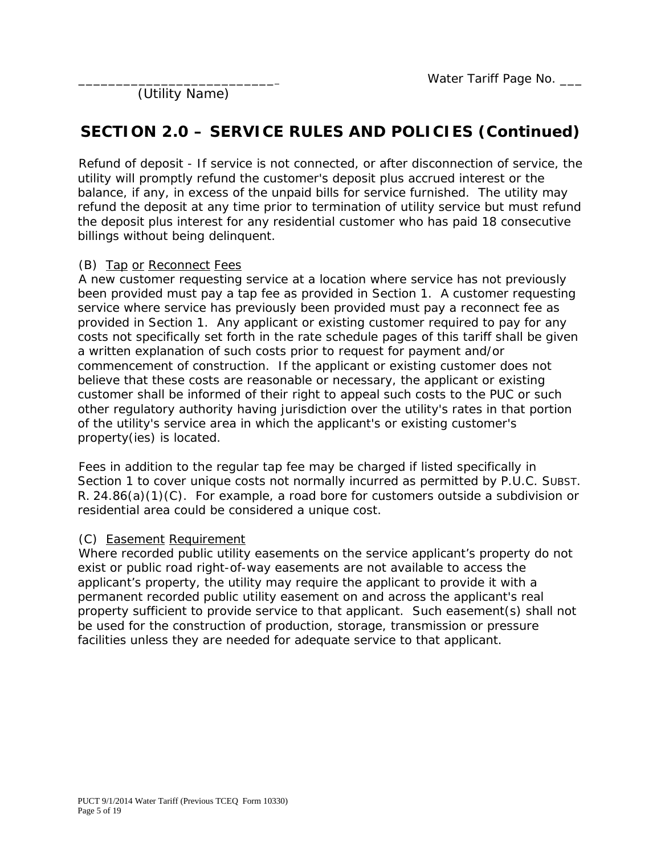### **SECTION 2.0 – SERVICE RULES AND POLICIES (Continued)**

Refund of deposit - If service is not connected, or after disconnection of service, the utility will promptly refund the customer's deposit plus accrued interest or the balance, if any, in excess of the unpaid bills for service furnished. The utility may refund the deposit at any time prior to termination of utility service but must refund the deposit plus interest for any residential customer who has paid 18 consecutive billings without being delinquent.

#### (B) Tap or Reconnect Fees

A new customer requesting service at a location where service has not previously been provided must pay a tap fee as provided in Section 1. A customer requesting service where service has previously been provided must pay a reconnect fee as provided in Section 1. Any applicant or existing customer required to pay for any costs not specifically set forth in the rate schedule pages of this tariff shall be given a written explanation of such costs prior to request for payment and/or commencement of construction. If the applicant or existing customer does not believe that these costs are reasonable or necessary, the applicant or existing customer shall be informed of their right to appeal such costs to the PUC or such other regulatory authority having jurisdiction over the utility's rates in that portion of the utility's service area in which the applicant's or existing customer's property(ies) is located.

Fees in addition to the regular tap fee may be charged if listed specifically in Section 1 to cover unique costs not normally incurred as permitted by P.U.C. SUBST. R. 24.86(a)(1)(C). For example, a road bore for customers outside a subdivision or residential area could be considered a unique cost.

#### (C) Easement Requirement

Where recorded public utility easements on the service applicant's property do not exist or public road right-of-way easements are not available to access the applicant's property, the utility may require the applicant to provide it with a permanent recorded public utility easement on and across the applicant's real property sufficient to provide service to that applicant. Such easement(s) shall not be used for the construction of production, storage, transmission or pressure facilities unless they are needed for adequate service to that applicant.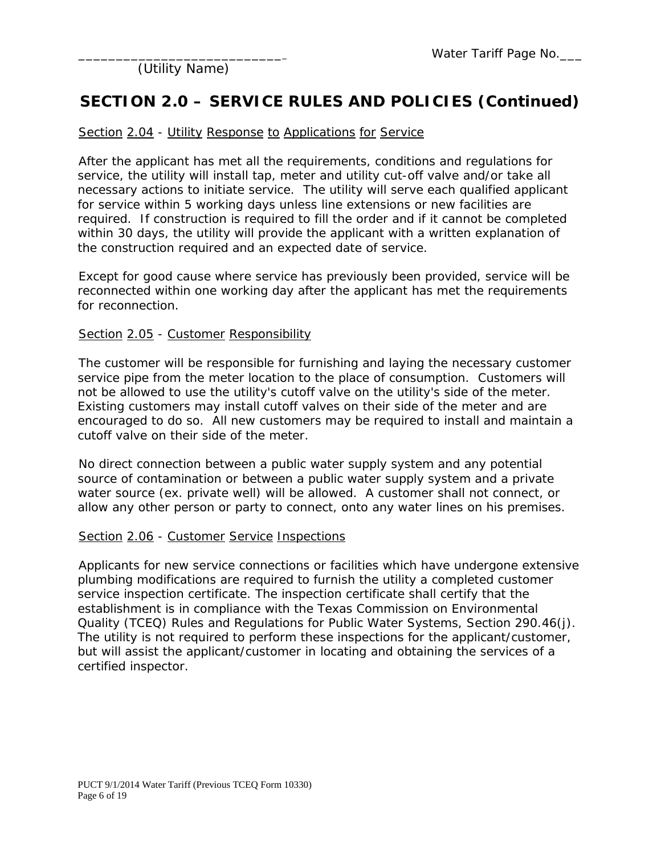### **SECTION 2.0 – SERVICE RULES AND POLICIES (Continued)**

#### Section 2.04 - Utility Response to Applications for Service

After the applicant has met all the requirements, conditions and regulations for service, the utility will install tap, meter and utility cut-off valve and/or take all necessary actions to initiate service. The utility will serve each qualified applicant for service within 5 working days unless line extensions or new facilities are required. If construction is required to fill the order and if it cannot be completed within 30 days, the utility will provide the applicant with a written explanation of the construction required and an expected date of service.

Except for good cause where service has previously been provided, service will be reconnected within one working day after the applicant has met the requirements for reconnection.

#### Section 2.05 - Customer Responsibility

The customer will be responsible for furnishing and laying the necessary customer service pipe from the meter location to the place of consumption. Customers will not be allowed to use the utility's cutoff valve on the utility's side of the meter. Existing customers may install cutoff valves on their side of the meter and are encouraged to do so. All new customers may be required to install and maintain a cutoff valve on their side of the meter.

No direct connection between a public water supply system and any potential source of contamination or between a public water supply system and a private water source (ex. private well) will be allowed. A customer shall not connect, or allow any other person or party to connect, onto any water lines on his premises.

#### Section 2.06 - Customer Service Inspections

Applicants for new service connections or facilities which have undergone extensive plumbing modifications are required to furnish the utility a completed customer service inspection certificate. The inspection certificate shall certify that the establishment is in compliance with the Texas Commission on Environmental Quality (TCEQ) Rules and Regulations for Public Water Systems, Section 290.46(j). The utility is not required to perform these inspections for the applicant/customer, but will assist the applicant/customer in locating and obtaining the services of a certified inspector.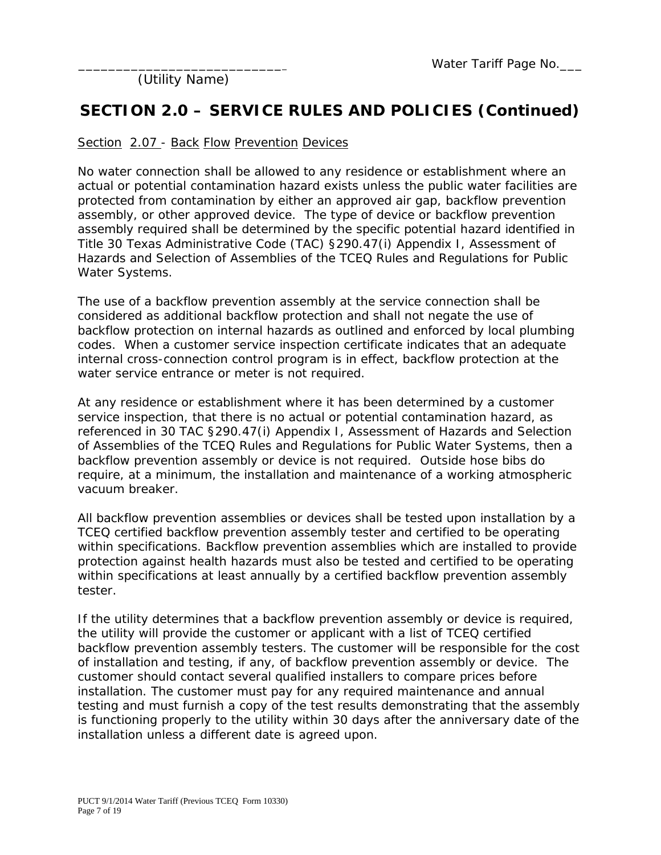### **SECTION 2.0 – SERVICE RULES AND POLICIES (Continued)**

#### Section 2.07 - Back Flow Prevention Devices

No water connection shall be allowed to any residence or establishment where an actual or potential contamination hazard exists unless the public water facilities are protected from contamination by either an approved air gap, backflow prevention assembly, or other approved device. The type of device or backflow prevention assembly required shall be determined by the specific potential hazard identified in Title 30 Texas Administrative Code (TAC) §290.47(i) Appendix I, Assessment of Hazards and Selection of Assemblies of the TCEQ Rules and Regulations for Public Water Systems.

The use of a backflow prevention assembly at the service connection shall be considered as additional backflow protection and shall not negate the use of backflow protection on internal hazards as outlined and enforced by local plumbing codes. When a customer service inspection certificate indicates that an adequate internal cross-connection control program is in effect, backflow protection at the water service entrance or meter is not required.

At any residence or establishment where it has been determined by a customer service inspection, that there is no actual or potential contamination hazard, as referenced in 30 TAC §290.47(i) Appendix I, Assessment of Hazards and Selection of Assemblies of the TCEQ Rules and Regulations for Public Water Systems, then a backflow prevention assembly or device is not required. Outside hose bibs do require, at a minimum, the installation and maintenance of a working atmospheric vacuum breaker.

All backflow prevention assemblies or devices shall be tested upon installation by a TCEQ certified backflow prevention assembly tester and certified to be operating within specifications. Backflow prevention assemblies which are installed to provide protection against health hazards must also be tested and certified to be operating within specifications at least annually by a certified backflow prevention assembly tester.

If the utility determines that a backflow prevention assembly or device is required, the utility will provide the customer or applicant with a list of TCEQ certified backflow prevention assembly testers. The customer will be responsible for the cost of installation and testing, if any, of backflow prevention assembly or device. The customer should contact several qualified installers to compare prices before installation. The customer must pay for any required maintenance and annual testing and must furnish a copy of the test results demonstrating that the assembly is functioning properly to the utility within 30 days after the anniversary date of the installation unless a different date is agreed upon.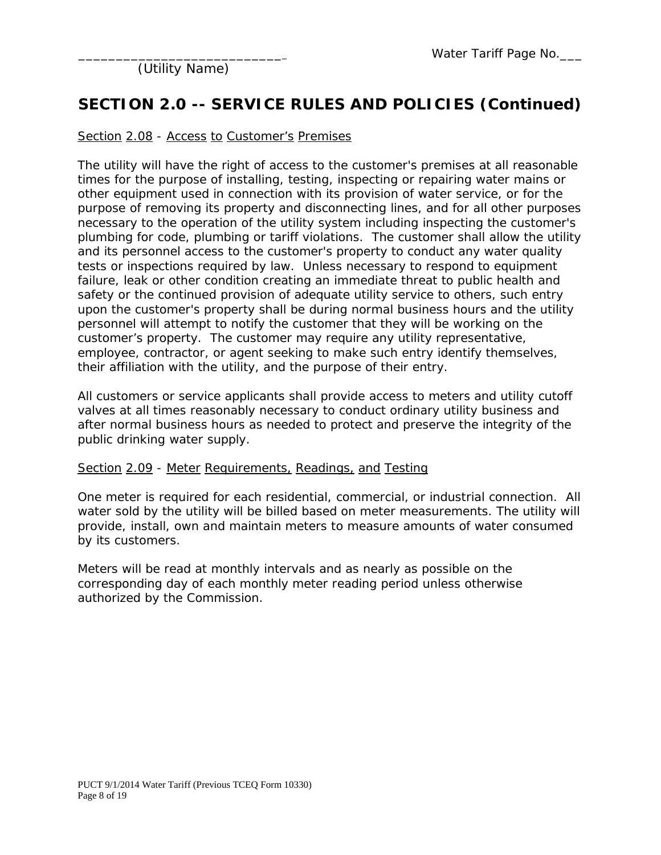### **SECTION 2.0 -- SERVICE RULES AND POLICIES (Continued)**

#### Section 2.08 - Access to Customer's Premises

The utility will have the right of access to the customer's premises at all reasonable times for the purpose of installing, testing, inspecting or repairing water mains or other equipment used in connection with its provision of water service, or for the purpose of removing its property and disconnecting lines, and for all other purposes necessary to the operation of the utility system including inspecting the customer's plumbing for code, plumbing or tariff violations. The customer shall allow the utility and its personnel access to the customer's property to conduct any water quality tests or inspections required by law. Unless necessary to respond to equipment failure, leak or other condition creating an immediate threat to public health and safety or the continued provision of adequate utility service to others, such entry upon the customer's property shall be during normal business hours and the utility personnel will attempt to notify the customer that they will be working on the customer's property. The customer may require any utility representative, employee, contractor, or agent seeking to make such entry identify themselves, their affiliation with the utility, and the purpose of their entry.

All customers or service applicants shall provide access to meters and utility cutoff valves at all times reasonably necessary to conduct ordinary utility business and after normal business hours as needed to protect and preserve the integrity of the public drinking water supply.

#### Section 2.09 - Meter Requirements, Readings, and Testing

One meter is required for each residential, commercial, or industrial connection. All water sold by the utility will be billed based on meter measurements. The utility will provide, install, own and maintain meters to measure amounts of water consumed by its customers.

Meters will be read at monthly intervals and as nearly as possible on the corresponding day of each monthly meter reading period unless otherwise authorized by the Commission.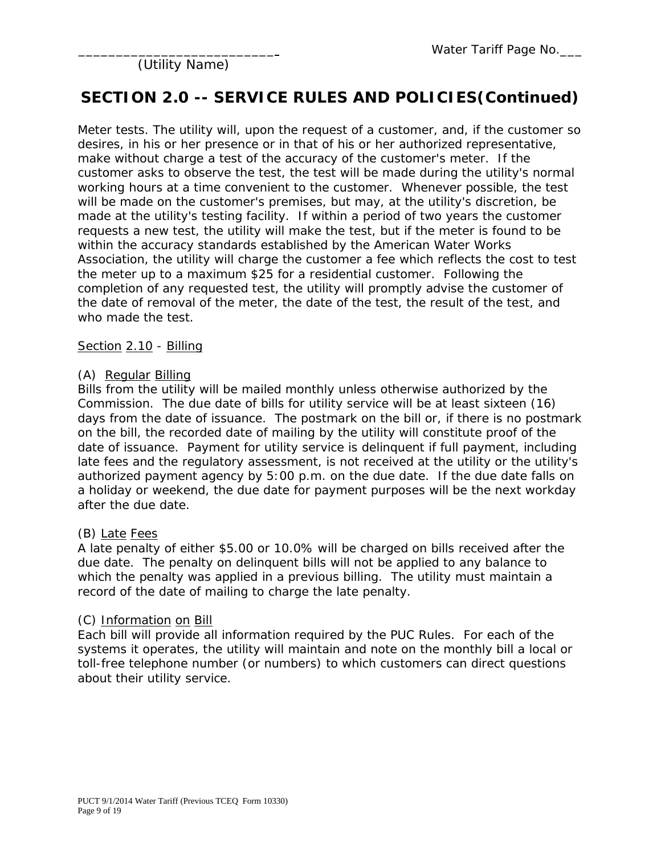### **SECTION 2.0 -- SERVICE RULES AND POLICIES(Continued)**

Meter tests. The utility will, upon the request of a customer, and, if the customer so desires, in his or her presence or in that of his or her authorized representative, make without charge a test of the accuracy of the customer's meter. If the customer asks to observe the test, the test will be made during the utility's normal working hours at a time convenient to the customer. Whenever possible, the test will be made on the customer's premises, but may, at the utility's discretion, be made at the utility's testing facility. If within a period of two years the customer requests a new test, the utility will make the test, but if the meter is found to be within the accuracy standards established by the American Water Works Association, the utility will charge the customer a fee which reflects the cost to test the meter up to a maximum \$25 for a residential customer. Following the completion of any requested test, the utility will promptly advise the customer of the date of removal of the meter, the date of the test, the result of the test, and who made the test.

Section 2.10 - Billing

#### (A) Regular Billing

Bills from the utility will be mailed monthly unless otherwise authorized by the Commission. The due date of bills for utility service will be at least sixteen (16) days from the date of issuance. The postmark on the bill or, if there is no postmark on the bill, the recorded date of mailing by the utility will constitute proof of the date of issuance. Payment for utility service is delinquent if full payment, including late fees and the regulatory assessment, is not received at the utility or the utility's authorized payment agency by 5:00 p.m. on the due date. If the due date falls on a holiday or weekend, the due date for payment purposes will be the next workday after the due date.

#### (B) Late Fees

A late penalty of either \$5.00 or 10.0% will be charged on bills received after the due date. The penalty on delinquent bills will not be applied to any balance to which the penalty was applied in a previous billing. The utility must maintain a record of the date of mailing to charge the late penalty.

#### (C) Information on Bill

Each bill will provide all information required by the PUC Rules. For each of the systems it operates, the utility will maintain and note on the monthly bill a local or toll-free telephone number (or numbers) to which customers can direct questions about their utility service.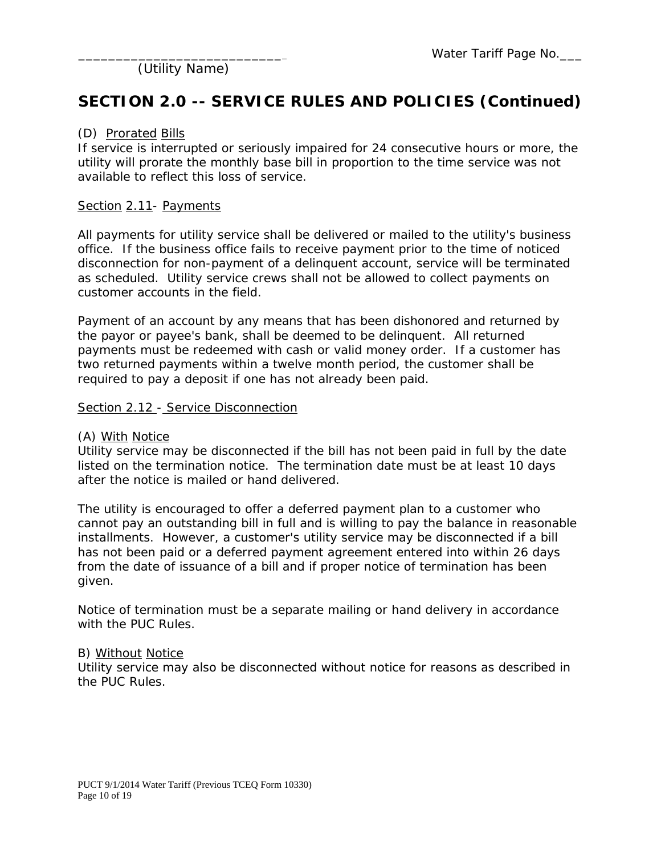### **SECTION 2.0 -- SERVICE RULES AND POLICIES (Continued)**

#### (D) Prorated Bills

If service is interrupted or seriously impaired for 24 consecutive hours or more, the utility will prorate the monthly base bill in proportion to the time service was not available to reflect this loss of service.

#### Section 2.11- Payments

All payments for utility service shall be delivered or mailed to the utility's business office. If the business office fails to receive payment prior to the time of noticed disconnection for non-payment of a delinquent account, service will be terminated as scheduled. Utility service crews shall not be allowed to collect payments on customer accounts in the field.

Payment of an account by any means that has been dishonored and returned by the payor or payee's bank, shall be deemed to be delinquent. All returned payments must be redeemed with cash or valid money order. If a customer has two returned payments within a twelve month period, the customer shall be required to pay a deposit if one has not already been paid.

#### Section 2.12 - Service Disconnection

#### (A) With Notice

Utility service may be disconnected if the bill has not been paid in full by the date listed on the termination notice. The termination date must be at least 10 days after the notice is mailed or hand delivered.

The utility is encouraged to offer a deferred payment plan to a customer who cannot pay an outstanding bill in full and is willing to pay the balance in reasonable installments. However, a customer's utility service may be disconnected if a bill has not been paid or a deferred payment agreement entered into within 26 days from the date of issuance of a bill and if proper notice of termination has been given.

Notice of termination must be a separate mailing or hand delivery in accordance with the PUC Rules.

#### B) Without Notice

Utility service may also be disconnected without notice for reasons as described in the PUC Rules.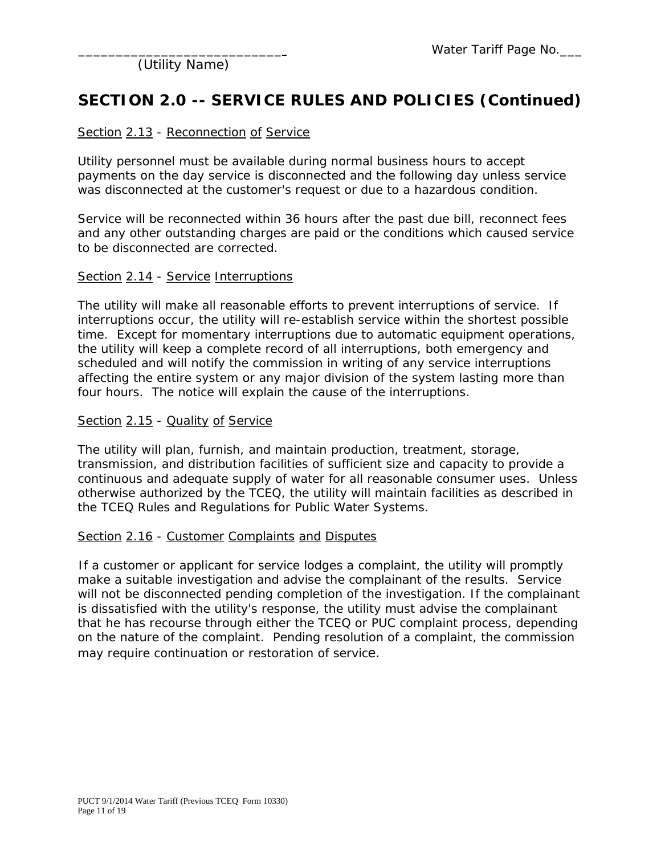### **SECTION 2.0 -- SERVICE RULES AND POLICIES (Continued)**

#### Section 2.13 - Reconnection of Service

Utility personnel must be available during normal business hours to accept payments on the day service is disconnected and the following day unless service was disconnected at the customer's request or due to a hazardous condition.

Service will be reconnected within 36 hours after the past due bill, reconnect fees and any other outstanding charges are paid or the conditions which caused service to be disconnected are corrected.

#### Section 2.14 - Service Interruptions

The utility will make all reasonable efforts to prevent interruptions of service. If interruptions occur, the utility will re-establish service within the shortest possible time. Except for momentary interruptions due to automatic equipment operations, the utility will keep a complete record of all interruptions, both emergency and scheduled and will notify the commission in writing of any service interruptions affecting the entire system or any major division of the system lasting more than four hours. The notice will explain the cause of the interruptions.

#### Section 2.15 - Quality of Service

The utility will plan, furnish, and maintain production, treatment, storage, transmission, and distribution facilities of sufficient size and capacity to provide a continuous and adequate supply of water for all reasonable consumer uses. Unless otherwise authorized by the TCEQ, the utility will maintain facilities as described in the TCEQ Rules and Regulations for Public Water Systems.

#### Section 2.16 - Customer Complaints and Disputes

If a customer or applicant for service lodges a complaint, the utility will promptly make a suitable investigation and advise the complainant of the results. Service will not be disconnected pending completion of the investigation. If the complainant is dissatisfied with the utility's response, the utility must advise the complainant that he has recourse through either the TCEQ or PUC complaint process, depending on the nature of the complaint. Pending resolution of a complaint, the commission may require continuation or restoration of service.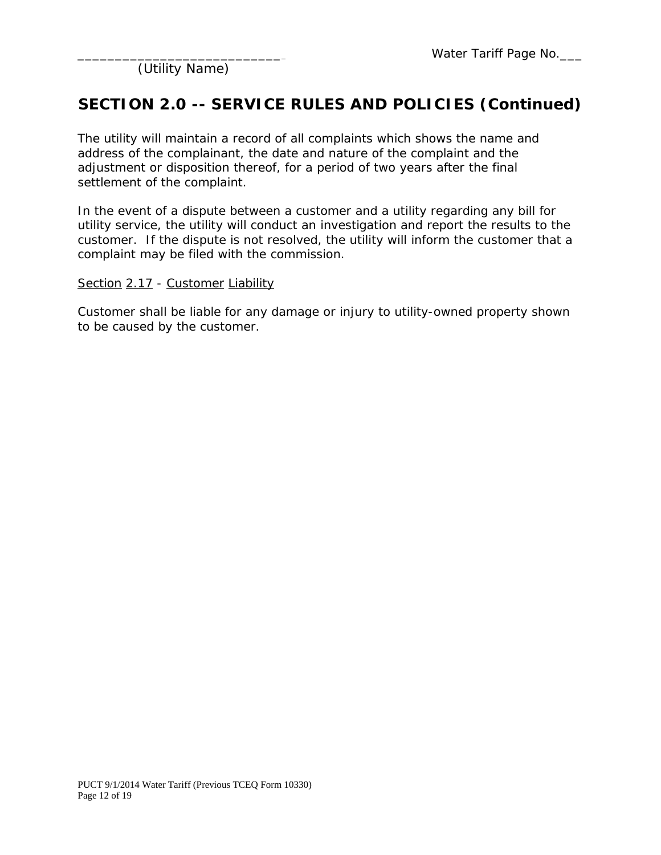### **SECTION 2.0 -- SERVICE RULES AND POLICIES (Continued)**

The utility will maintain a record of all complaints which shows the name and address of the complainant, the date and nature of the complaint and the adjustment or disposition thereof, for a period of two years after the final settlement of the complaint.

In the event of a dispute between a customer and a utility regarding any bill for utility service, the utility will conduct an investigation and report the results to the customer. If the dispute is not resolved, the utility will inform the customer that a complaint may be filed with the commission.

#### Section 2.17 - Customer Liability

Customer shall be liable for any damage or injury to utility-owned property shown to be caused by the customer.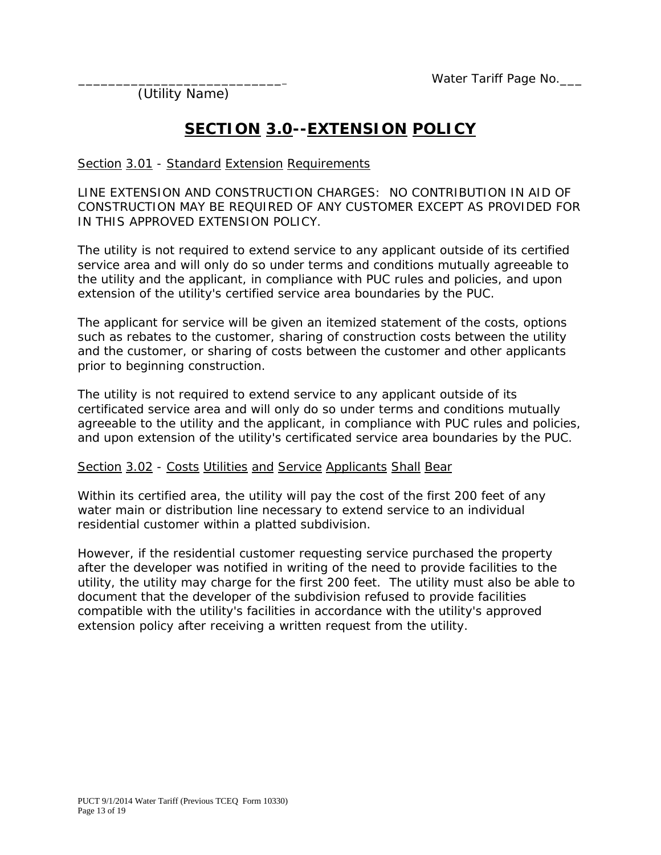## **SECTION 3.0--EXTENSION POLICY**

#### Section 3.01 - Standard Extension Requirements

LINE EXTENSION AND CONSTRUCTION CHARGES: NO CONTRIBUTION IN AID OF CONSTRUCTION MAY BE REQUIRED OF ANY CUSTOMER EXCEPT AS PROVIDED FOR IN THIS APPROVED EXTENSION POLICY.

The utility is not required to extend service to any applicant outside of its certified service area and will only do so under terms and conditions mutually agreeable to the utility and the applicant, in compliance with PUC rules and policies, and upon extension of the utility's certified service area boundaries by the PUC.

The applicant for service will be given an itemized statement of the costs, options such as rebates to the customer, sharing of construction costs between the utility and the customer, or sharing of costs between the customer and other applicants prior to beginning construction.

The utility is not required to extend service to any applicant outside of its certificated service area and will only do so under terms and conditions mutually agreeable to the utility and the applicant, in compliance with PUC rules and policies, and upon extension of the utility's certificated service area boundaries by the PUC.

#### Section 3.02 - Costs Utilities and Service Applicants Shall Bear

Within its certified area, the utility will pay the cost of the first 200 feet of any water main or distribution line necessary to extend service to an individual residential customer within a platted subdivision.

However, if the residential customer requesting service purchased the property after the developer was notified in writing of the need to provide facilities to the utility, the utility may charge for the first 200 feet. The utility must also be able to document that the developer of the subdivision refused to provide facilities compatible with the utility's facilities in accordance with the utility's approved extension policy after receiving a written request from the utility.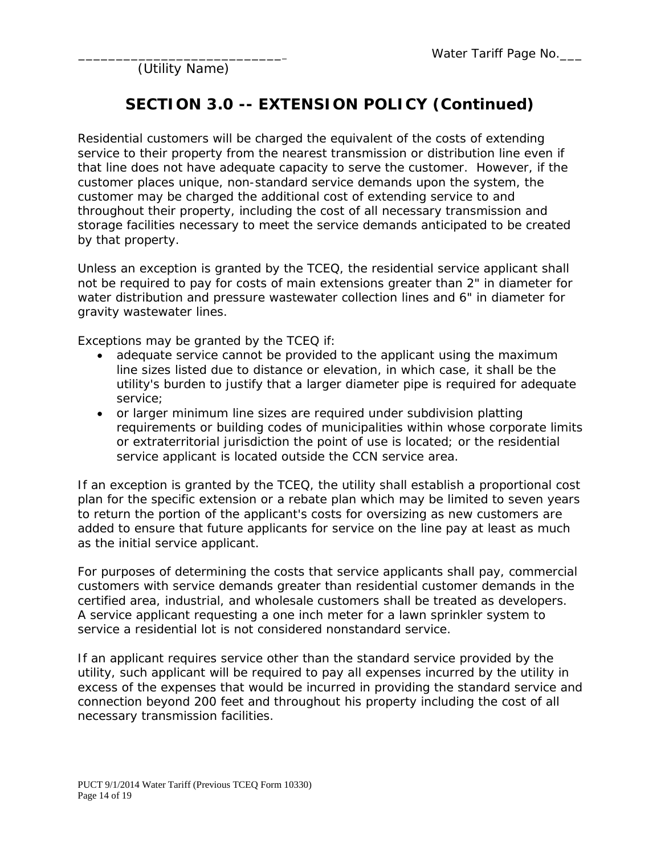### **SECTION 3.0 -- EXTENSION POLICY (Continued)**

Residential customers will be charged the equivalent of the costs of extending service to their property from the nearest transmission or distribution line even if that line does not have adequate capacity to serve the customer. However, if the customer places unique, non-standard service demands upon the system, the customer may be charged the additional cost of extending service to and throughout their property, including the cost of all necessary transmission and storage facilities necessary to meet the service demands anticipated to be created by that property.

Unless an exception is granted by the TCEQ, the residential service applicant shall not be required to pay for costs of main extensions greater than 2" in diameter for water distribution and pressure wastewater collection lines and 6" in diameter for gravity wastewater lines.

Exceptions may be granted by the TCEQ if:

- adequate service cannot be provided to the applicant using the maximum line sizes listed due to distance or elevation, in which case, it shall be the utility's burden to justify that a larger diameter pipe is required for adequate service;
- or larger minimum line sizes are required under subdivision platting requirements or building codes of municipalities within whose corporate limits or extraterritorial jurisdiction the point of use is located; or the residential service applicant is located outside the CCN service area.

If an exception is granted by the TCEQ, the utility shall establish a proportional cost plan for the specific extension or a rebate plan which may be limited to seven years to return the portion of the applicant's costs for oversizing as new customers are added to ensure that future applicants for service on the line pay at least as much as the initial service applicant.

For purposes of determining the costs that service applicants shall pay, commercial customers with service demands greater than residential customer demands in the certified area, industrial, and wholesale customers shall be treated as developers. A service applicant requesting a one inch meter for a lawn sprinkler system to service a residential lot is not considered nonstandard service.

If an applicant requires service other than the standard service provided by the utility, such applicant will be required to pay all expenses incurred by the utility in excess of the expenses that would be incurred in providing the standard service and connection beyond 200 feet and throughout his property including the cost of all necessary transmission facilities.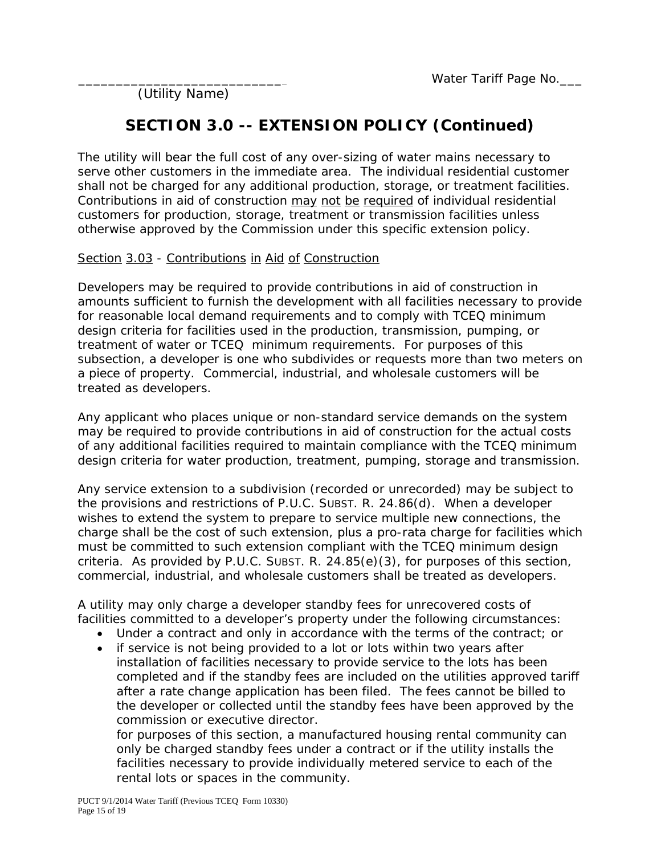### **SECTION 3.0 -- EXTENSION POLICY (Continued)**

The utility will bear the full cost of any over-sizing of water mains necessary to serve other customers in the immediate area. The individual residential customer shall not be charged for any additional production, storage, or treatment facilities. Contributions in aid of construction may not be required of individual residential customers for production, storage, treatment or transmission facilities unless otherwise approved by the Commission under this specific extension policy.

#### Section 3.03 - Contributions in Aid of Construction

Developers may be required to provide contributions in aid of construction in amounts sufficient to furnish the development with all facilities necessary to provide for reasonable local demand requirements and to comply with TCEQ minimum design criteria for facilities used in the production, transmission, pumping, or treatment of water or TCEQ minimum requirements. For purposes of this subsection, a developer is one who subdivides or requests more than two meters on a piece of property. Commercial, industrial, and wholesale customers will be treated as developers.

Any applicant who places unique or non-standard service demands on the system may be required to provide contributions in aid of construction for the actual costs of any additional facilities required to maintain compliance with the TCEQ minimum design criteria for water production, treatment, pumping, storage and transmission.

Any service extension to a subdivision (recorded or unrecorded) may be subject to the provisions and restrictions of P.U.C. SUBST. R. 24.86(d). When a developer wishes to extend the system to prepare to service multiple new connections, the charge shall be the cost of such extension, plus a pro-rata charge for facilities which must be committed to such extension compliant with the TCEQ minimum design criteria. As provided by P.U.C. SUBST. R.  $24.85(e)(3)$ , for purposes of this section, commercial, industrial, and wholesale customers shall be treated as developers.

A utility may only charge a developer standby fees for unrecovered costs of facilities committed to a developer's property under the following circumstances:

- Under a contract and only in accordance with the terms of the contract; or
- if service is not being provided to a lot or lots within two years after installation of facilities necessary to provide service to the lots has been completed and if the standby fees are included on the utilities approved tariff after a rate change application has been filed. The fees cannot be billed to the developer or collected until the standby fees have been approved by the commission or executive director.

for purposes of this section, a manufactured housing rental community can only be charged standby fees under a contract or if the utility installs the facilities necessary to provide individually metered service to each of the rental lots or spaces in the community.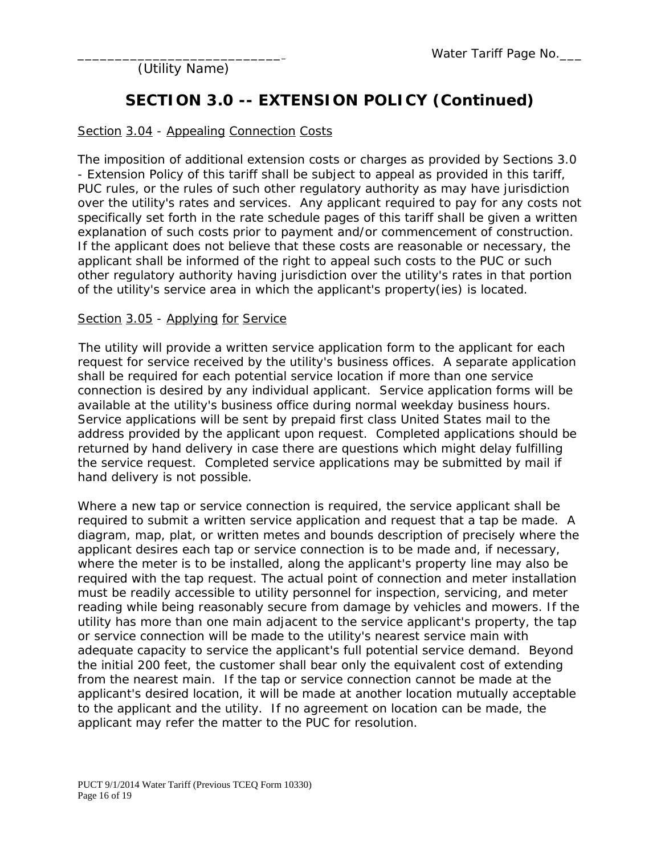### **SECTION 3.0 -- EXTENSION POLICY (Continued)**

#### Section 3.04 - Appealing Connection Costs

The imposition of additional extension costs or charges as provided by Sections 3.0 - Extension Policy of this tariff shall be subject to appeal as provided in this tariff, PUC rules, or the rules of such other regulatory authority as may have jurisdiction over the utility's rates and services. Any applicant required to pay for any costs not specifically set forth in the rate schedule pages of this tariff shall be given a written explanation of such costs prior to payment and/or commencement of construction. If the applicant does not believe that these costs are reasonable or necessary, the applicant shall be informed of the right to appeal such costs to the PUC or such other regulatory authority having jurisdiction over the utility's rates in that portion of the utility's service area in which the applicant's property(ies) is located.

#### Section 3.05 - Applying for Service

The utility will provide a written service application form to the applicant for each request for service received by the utility's business offices. A separate application shall be required for each potential service location if more than one service connection is desired by any individual applicant. Service application forms will be available at the utility's business office during normal weekday business hours. Service applications will be sent by prepaid first class United States mail to the address provided by the applicant upon request. Completed applications should be returned by hand delivery in case there are questions which might delay fulfilling the service request. Completed service applications may be submitted by mail if hand delivery is not possible.

Where a new tap or service connection is required, the service applicant shall be required to submit a written service application and request that a tap be made. A diagram, map, plat, or written metes and bounds description of precisely where the applicant desires each tap or service connection is to be made and, if necessary, where the meter is to be installed, along the applicant's property line may also be required with the tap request. The actual point of connection and meter installation must be readily accessible to utility personnel for inspection, servicing, and meter reading while being reasonably secure from damage by vehicles and mowers. If the utility has more than one main adjacent to the service applicant's property, the tap or service connection will be made to the utility's nearest service main with adequate capacity to service the applicant's full potential service demand. Beyond the initial 200 feet, the customer shall bear only the equivalent cost of extending from the nearest main. If the tap or service connection cannot be made at the applicant's desired location, it will be made at another location mutually acceptable to the applicant and the utility. If no agreement on location can be made, the applicant may refer the matter to the PUC for resolution.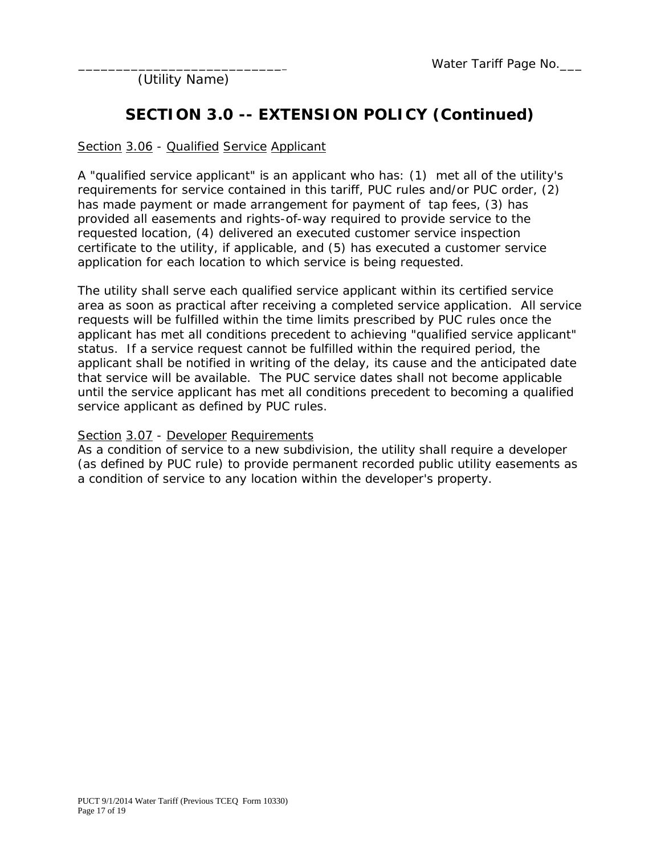## **SECTION 3.0 -- EXTENSION POLICY (Continued)**

#### Section 3.06 - Qualified Service Applicant

A "qualified service applicant" is an applicant who has: (1) met all of the utility's requirements for service contained in this tariff, PUC rules and/or PUC order, (2) has made payment or made arrangement for payment of tap fees, (3) has provided all easements and rights-of-way required to provide service to the requested location, (4) delivered an executed customer service inspection certificate to the utility, if applicable, and (5) has executed a customer service application for each location to which service is being requested.

The utility shall serve each qualified service applicant within its certified service area as soon as practical after receiving a completed service application. All service requests will be fulfilled within the time limits prescribed by PUC rules once the applicant has met all conditions precedent to achieving "qualified service applicant" status. If a service request cannot be fulfilled within the required period, the applicant shall be notified in writing of the delay, its cause and the anticipated date that service will be available. The PUC service dates shall not become applicable until the service applicant has met all conditions precedent to becoming a qualified service applicant as defined by PUC rules.

#### Section 3.07 - Developer Requirements

As a condition of service to a new subdivision, the utility shall require a developer (as defined by PUC rule) to provide permanent recorded public utility easements as a condition of service to any location within the developer's property.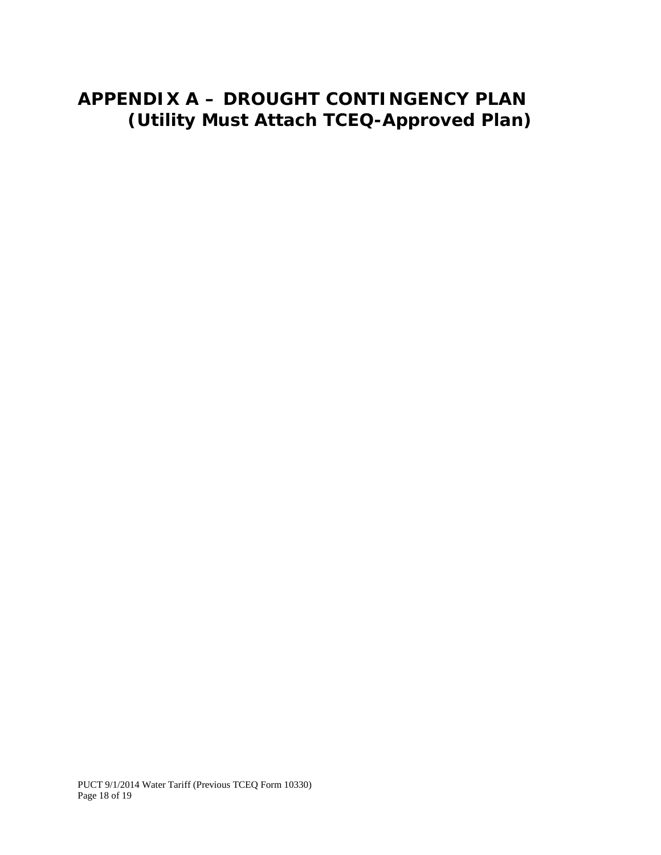# **APPENDIX A – DROUGHT CONTINGENCY PLAN (Utility Must Attach TCEQ-Approved Plan)**